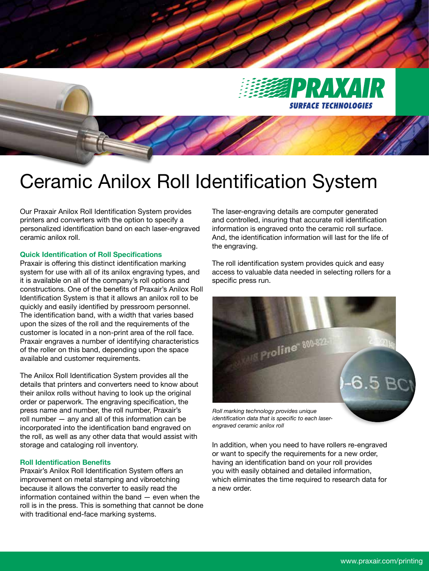

## Ceramic Anilox Roll Identification System

Our Praxair Anilox Roll Identification System provides printers and converters with the option to specify a personalized identification band on each laser-engraved ceramic anilox roll.

## **Quick Identification of Roll Specifications**

Praxair is offering this distinct identification marking system for use with all of its anilox engraving types, and it is available on all of the company's roll options and constructions. One of the benefits of Praxair's Anilox Roll Identification System is that it allows an anilox roll to be quickly and easily identified by pressroom personnel. The identification band, with a width that varies based upon the sizes of the roll and the requirements of the customer is located in a non-print area of the roll face. Praxair engraves a number of identifying characteristics of the roller on this band, depending upon the space available and customer requirements.

The Anilox Roll Identification System provides all the details that printers and converters need to know about their anilox rolls without having to look up the original order or paperwork. The engraving specification, the press name and number, the roll number, Praxair's roll number — any and all of this information can be incorporated into the identification band engraved on the roll, as well as any other data that would assist with storage and cataloging roll inventory.

## **Roll Identification Benefits**

Praxair's Anilox Roll Identification System offers an improvement on metal stamping and vibroetching because it allows the converter to easily read the information contained within the band — even when the roll is in the press. This is something that cannot be done with traditional end-face marking systems.

The laser-engraving details are computer generated and controlled, insuring that accurate roll identification information is engraved onto the ceramic roll surface. And, the identification information will last for the life of the engraving.

The roll identification system provides quick and easy access to valuable data needed in selecting rollers for a specific press run.



*identification data that is specific to each laserengraved ceramic anilox roll*

In addition, when you need to have rollers re-engraved or want to specify the requirements for a new order, having an identification band on your roll provides you with easily obtained and detailed information, which eliminates the time required to research data for a new order.